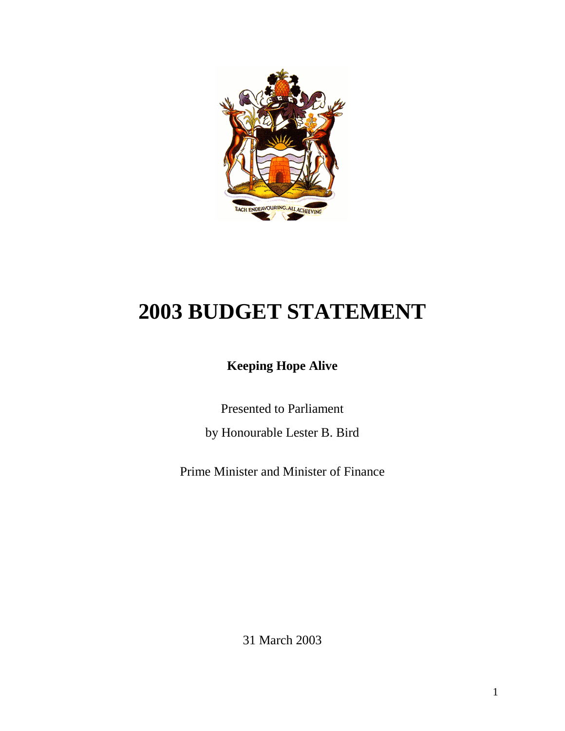

# **2003 BUDGET STATEMENT**

# **Keeping Hope Alive**

Presented to Parliament

by Honourable Lester B. Bird

Prime Minister and Minister of Finance

31 March 2003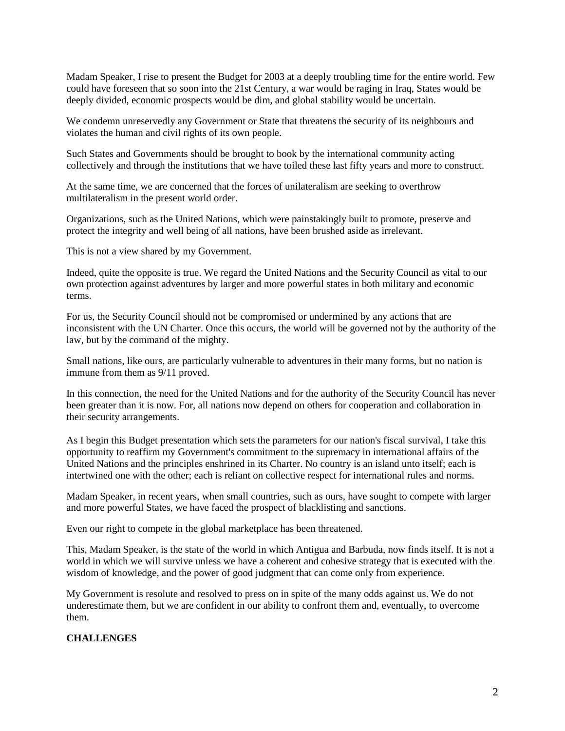Madam Speaker, I rise to present the Budget for 2003 at a deeply troubling time for the entire world. Few could have foreseen that so soon into the 21st Century, a war would be raging in Iraq, States would be deeply divided, economic prospects would be dim, and global stability would be uncertain.

We condemn unreservedly any Government or State that threatens the security of its neighbours and violates the human and civil rights of its own people.

Such States and Governments should be brought to book by the international community acting collectively and through the institutions that we have toiled these last fifty years and more to construct.

At the same time, we are concerned that the forces of unilateralism are seeking to overthrow multilateralism in the present world order.

Organizations, such as the United Nations, which were painstakingly built to promote, preserve and protect the integrity and well being of all nations, have been brushed aside as irrelevant.

This is not a view shared by my Government.

Indeed, quite the opposite is true. We regard the United Nations and the Security Council as vital to our own protection against adventures by larger and more powerful states in both military and economic terms.

For us, the Security Council should not be compromised or undermined by any actions that are inconsistent with the UN Charter. Once this occurs, the world will be governed not by the authority of the law, but by the command of the mighty.

Small nations, like ours, are particularly vulnerable to adventures in their many forms, but no nation is immune from them as 9/11 proved.

In this connection, the need for the United Nations and for the authority of the Security Council has never been greater than it is now. For, all nations now depend on others for cooperation and collaboration in their security arrangements.

As I begin this Budget presentation which sets the parameters for our nation's fiscal survival, I take this opportunity to reaffirm my Government's commitment to the supremacy in international affairs of the United Nations and the principles enshrined in its Charter. No country is an island unto itself; each is intertwined one with the other; each is reliant on collective respect for international rules and norms.

Madam Speaker, in recent years, when small countries, such as ours, have sought to compete with larger and more powerful States, we have faced the prospect of blacklisting and sanctions.

Even our right to compete in the global marketplace has been threatened.

This, Madam Speaker, is the state of the world in which Antigua and Barbuda, now finds itself. It is not a world in which we will survive unless we have a coherent and cohesive strategy that is executed with the wisdom of knowledge, and the power of good judgment that can come only from experience.

My Government is resolute and resolved to press on in spite of the many odds against us. We do not underestimate them, but we are confident in our ability to confront them and, eventually, to overcome them.

#### **CHALLENGES**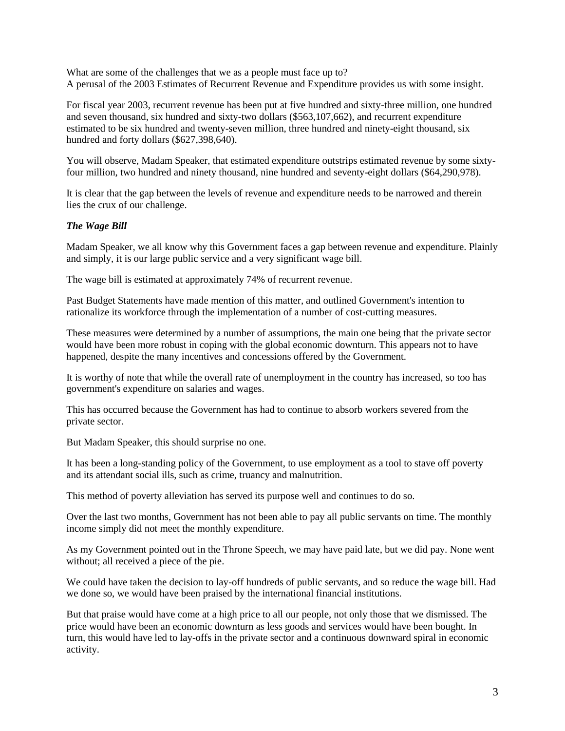What are some of the challenges that we as a people must face up to? A perusal of the 2003 Estimates of Recurrent Revenue and Expenditure provides us with some insight.

For fiscal year 2003, recurrent revenue has been put at five hundred and sixty-three million, one hundred and seven thousand, six hundred and sixty-two dollars (\$563,107,662), and recurrent expenditure estimated to be six hundred and twenty-seven million, three hundred and ninety-eight thousand, six hundred and forty dollars (\$627,398,640).

You will observe, Madam Speaker, that estimated expenditure outstrips estimated revenue by some sixtyfour million, two hundred and ninety thousand, nine hundred and seventy-eight dollars (\$64,290,978).

It is clear that the gap between the levels of revenue and expenditure needs to be narrowed and therein lies the crux of our challenge.

#### *The Wage Bill*

Madam Speaker, we all know why this Government faces a gap between revenue and expenditure. Plainly and simply, it is our large public service and a very significant wage bill.

The wage bill is estimated at approximately 74% of recurrent revenue.

Past Budget Statements have made mention of this matter, and outlined Government's intention to rationalize its workforce through the implementation of a number of cost-cutting measures.

These measures were determined by a number of assumptions, the main one being that the private sector would have been more robust in coping with the global economic downturn. This appears not to have happened, despite the many incentives and concessions offered by the Government.

It is worthy of note that while the overall rate of unemployment in the country has increased, so too has government's expenditure on salaries and wages.

This has occurred because the Government has had to continue to absorb workers severed from the private sector.

But Madam Speaker, this should surprise no one.

It has been a long-standing policy of the Government, to use employment as a tool to stave off poverty and its attendant social ills, such as crime, truancy and malnutrition.

This method of poverty alleviation has served its purpose well and continues to do so.

Over the last two months, Government has not been able to pay all public servants on time. The monthly income simply did not meet the monthly expenditure.

As my Government pointed out in the Throne Speech, we may have paid late, but we did pay. None went without; all received a piece of the pie.

We could have taken the decision to lay-off hundreds of public servants, and so reduce the wage bill. Had we done so, we would have been praised by the international financial institutions.

But that praise would have come at a high price to all our people, not only those that we dismissed. The price would have been an economic downturn as less goods and services would have been bought. In turn, this would have led to lay-offs in the private sector and a continuous downward spiral in economic activity.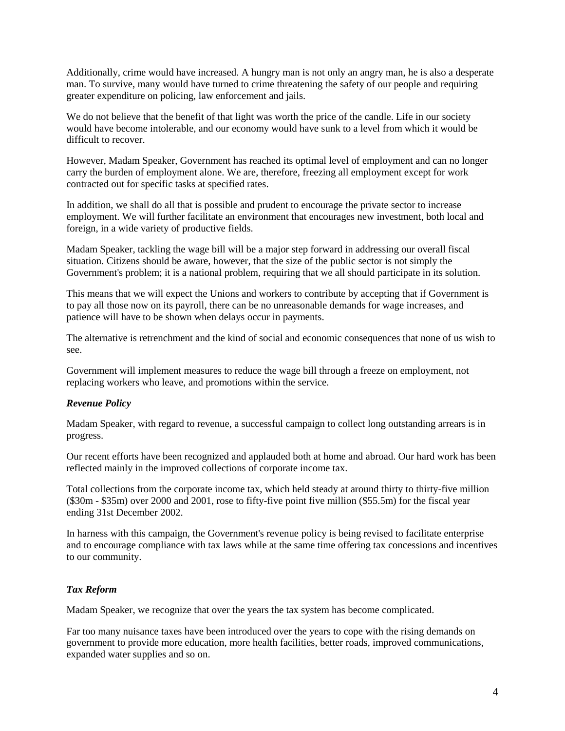Additionally, crime would have increased. A hungry man is not only an angry man, he is also a desperate man. To survive, many would have turned to crime threatening the safety of our people and requiring greater expenditure on policing, law enforcement and jails.

We do not believe that the benefit of that light was worth the price of the candle. Life in our society would have become intolerable, and our economy would have sunk to a level from which it would be difficult to recover.

However, Madam Speaker, Government has reached its optimal level of employment and can no longer carry the burden of employment alone. We are, therefore, freezing all employment except for work contracted out for specific tasks at specified rates.

In addition, we shall do all that is possible and prudent to encourage the private sector to increase employment. We will further facilitate an environment that encourages new investment, both local and foreign, in a wide variety of productive fields.

Madam Speaker, tackling the wage bill will be a major step forward in addressing our overall fiscal situation. Citizens should be aware, however, that the size of the public sector is not simply the Government's problem; it is a national problem, requiring that we all should participate in its solution.

This means that we will expect the Unions and workers to contribute by accepting that if Government is to pay all those now on its payroll, there can be no unreasonable demands for wage increases, and patience will have to be shown when delays occur in payments.

The alternative is retrenchment and the kind of social and economic consequences that none of us wish to see.

Government will implement measures to reduce the wage bill through a freeze on employment, not replacing workers who leave, and promotions within the service.

# *Revenue Policy*

Madam Speaker, with regard to revenue, a successful campaign to collect long outstanding arrears is in progress.

Our recent efforts have been recognized and applauded both at home and abroad. Our hard work has been reflected mainly in the improved collections of corporate income tax.

Total collections from the corporate income tax, which held steady at around thirty to thirty-five million (\$30m - \$35m) over 2000 and 2001, rose to fifty-five point five million (\$55.5m) for the fiscal year ending 31st December 2002.

In harness with this campaign, the Government's revenue policy is being revised to facilitate enterprise and to encourage compliance with tax laws while at the same time offering tax concessions and incentives to our community.

# *Tax Reform*

Madam Speaker, we recognize that over the years the tax system has become complicated.

Far too many nuisance taxes have been introduced over the years to cope with the rising demands on government to provide more education, more health facilities, better roads, improved communications, expanded water supplies and so on.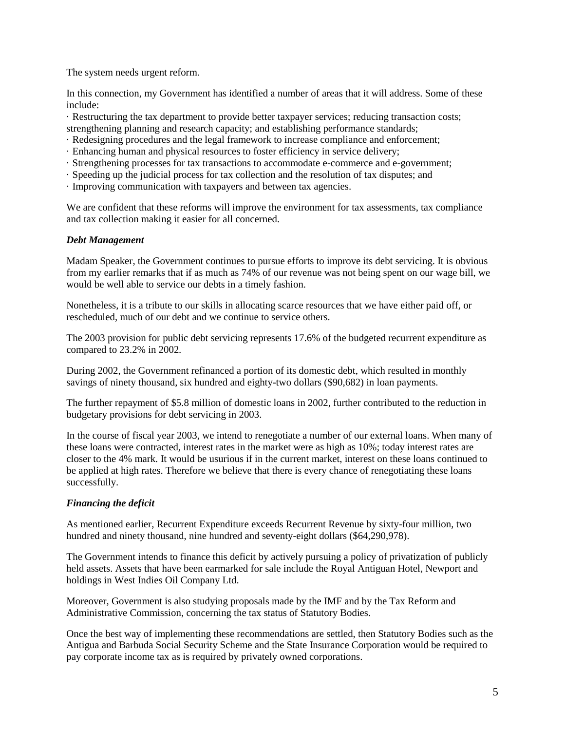The system needs urgent reform.

In this connection, my Government has identified a number of areas that it will address. Some of these include:

· Restructuring the tax department to provide better taxpayer services; reducing transaction costs; strengthening planning and research capacity; and establishing performance standards;

- · Redesigning procedures and the legal framework to increase compliance and enforcement;
- · Enhancing human and physical resources to foster efficiency in service delivery;
- · Strengthening processes for tax transactions to accommodate e-commerce and e-government;
- · Speeding up the judicial process for tax collection and the resolution of tax disputes; and
- · Improving communication with taxpayers and between tax agencies.

We are confident that these reforms will improve the environment for tax assessments, tax compliance and tax collection making it easier for all concerned.

#### *Debt Management*

Madam Speaker, the Government continues to pursue efforts to improve its debt servicing. It is obvious from my earlier remarks that if as much as 74% of our revenue was not being spent on our wage bill, we would be well able to service our debts in a timely fashion.

Nonetheless, it is a tribute to our skills in allocating scarce resources that we have either paid off, or rescheduled, much of our debt and we continue to service others.

The 2003 provision for public debt servicing represents 17.6% of the budgeted recurrent expenditure as compared to 23.2% in 2002.

During 2002, the Government refinanced a portion of its domestic debt, which resulted in monthly savings of ninety thousand, six hundred and eighty-two dollars (\$90,682) in loan payments.

The further repayment of \$5.8 million of domestic loans in 2002, further contributed to the reduction in budgetary provisions for debt servicing in 2003.

In the course of fiscal year 2003, we intend to renegotiate a number of our external loans. When many of these loans were contracted, interest rates in the market were as high as 10%; today interest rates are closer to the 4% mark. It would be usurious if in the current market, interest on these loans continued to be applied at high rates. Therefore we believe that there is every chance of renegotiating these loans successfully.

# *Financing the deficit*

As mentioned earlier, Recurrent Expenditure exceeds Recurrent Revenue by sixty-four million, two hundred and ninety thousand, nine hundred and seventy-eight dollars (\$64,290,978).

The Government intends to finance this deficit by actively pursuing a policy of privatization of publicly held assets. Assets that have been earmarked for sale include the Royal Antiguan Hotel, Newport and holdings in West Indies Oil Company Ltd.

Moreover, Government is also studying proposals made by the IMF and by the Tax Reform and Administrative Commission, concerning the tax status of Statutory Bodies.

Once the best way of implementing these recommendations are settled, then Statutory Bodies such as the Antigua and Barbuda Social Security Scheme and the State Insurance Corporation would be required to pay corporate income tax as is required by privately owned corporations.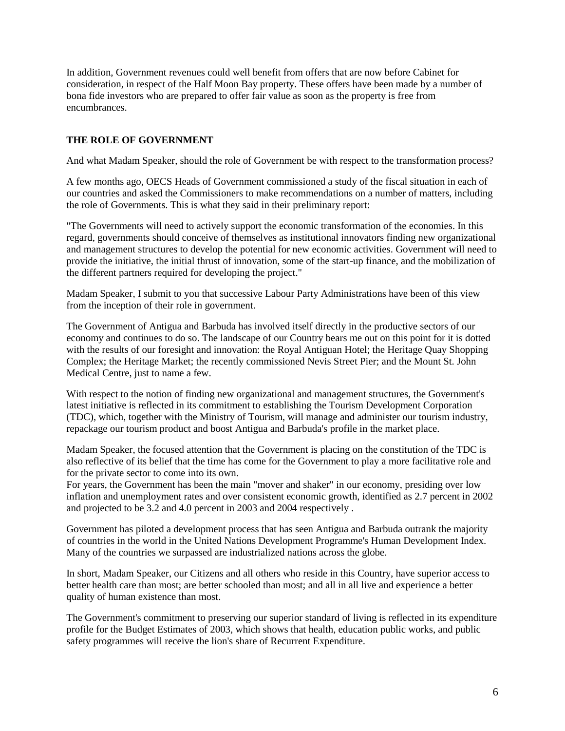In addition, Government revenues could well benefit from offers that are now before Cabinet for consideration, in respect of the Half Moon Bay property. These offers have been made by a number of bona fide investors who are prepared to offer fair value as soon as the property is free from encumbrances.

# **THE ROLE OF GOVERNMENT**

And what Madam Speaker, should the role of Government be with respect to the transformation process?

A few months ago, OECS Heads of Government commissioned a study of the fiscal situation in each of our countries and asked the Commissioners to make recommendations on a number of matters, including the role of Governments. This is what they said in their preliminary report:

"The Governments will need to actively support the economic transformation of the economies. In this regard, governments should conceive of themselves as institutional innovators finding new organizational and management structures to develop the potential for new economic activities. Government will need to provide the initiative, the initial thrust of innovation, some of the start-up finance, and the mobilization of the different partners required for developing the project."

Madam Speaker, I submit to you that successive Labour Party Administrations have been of this view from the inception of their role in government.

The Government of Antigua and Barbuda has involved itself directly in the productive sectors of our economy and continues to do so. The landscape of our Country bears me out on this point for it is dotted with the results of our foresight and innovation: the Royal Antiguan Hotel; the Heritage Quay Shopping Complex; the Heritage Market; the recently commissioned Nevis Street Pier; and the Mount St. John Medical Centre, just to name a few.

With respect to the notion of finding new organizational and management structures, the Government's latest initiative is reflected in its commitment to establishing the Tourism Development Corporation (TDC), which, together with the Ministry of Tourism, will manage and administer our tourism industry, repackage our tourism product and boost Antigua and Barbuda's profile in the market place.

Madam Speaker, the focused attention that the Government is placing on the constitution of the TDC is also reflective of its belief that the time has come for the Government to play a more facilitative role and for the private sector to come into its own.

For years, the Government has been the main "mover and shaker" in our economy, presiding over low inflation and unemployment rates and over consistent economic growth, identified as 2.7 percent in 2002 and projected to be 3.2 and 4.0 percent in 2003 and 2004 respectively .

Government has piloted a development process that has seen Antigua and Barbuda outrank the majority of countries in the world in the United Nations Development Programme's Human Development Index. Many of the countries we surpassed are industrialized nations across the globe.

In short, Madam Speaker, our Citizens and all others who reside in this Country, have superior access to better health care than most; are better schooled than most; and all in all live and experience a better quality of human existence than most.

The Government's commitment to preserving our superior standard of living is reflected in its expenditure profile for the Budget Estimates of 2003, which shows that health, education public works, and public safety programmes will receive the lion's share of Recurrent Expenditure.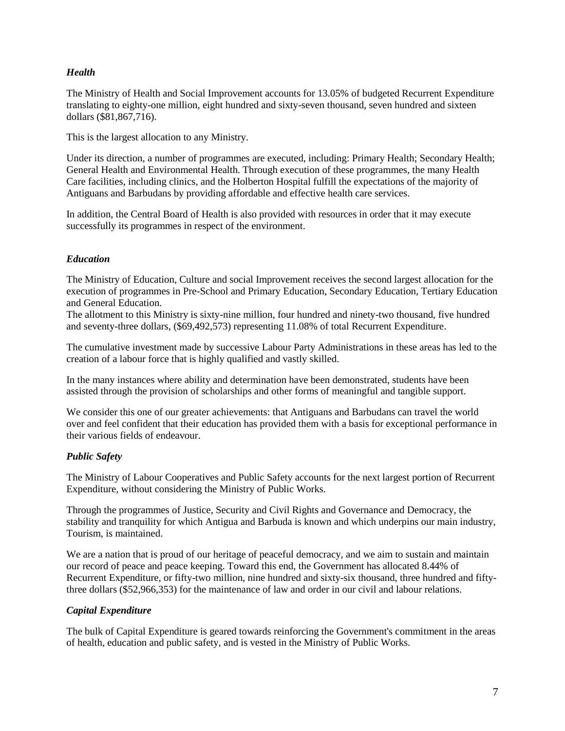#### *Health*

The Ministry of Health and Social Improvement accounts for 13.05% of budgeted Recurrent Expenditure translating to eighty-one million, eight hundred and sixty-seven thousand, seven hundred and sixteen dollars (\$81,867,716).

This is the largest allocation to any Ministry.

Under its direction, a number of programmes are executed, including: Primary Health; Secondary Health; General Health and Environmental Health. Through execution of these programmes, the many Health Care facilities, including clinics, and the Holberton Hospital fulfill the expectations of the majority of Antiguans and Barbudans by providing affordable and effective health care services.

In addition, the Central Board of Health is also provided with resources in order that it may execute successfully its programmes in respect of the environment.

# *Education*

The Ministry of Education, Culture and social Improvement receives the second largest allocation for the execution of programmes in Pre-School and Primary Education, Secondary Education, Tertiary Education and General Education.

The allotment to this Ministry is sixty-nine million, four hundred and ninety-two thousand, five hundred and seventy-three dollars, (\$69,492,573) representing 11.08% of total Recurrent Expenditure.

The cumulative investment made by successive Labour Party Administrations in these areas has led to the creation of a labour force that is highly qualified and vastly skilled.

In the many instances where ability and determination have been demonstrated, students have been assisted through the provision of scholarships and other forms of meaningful and tangible support.

We consider this one of our greater achievements: that Antiguans and Barbudans can travel the world over and feel confident that their education has provided them with a basis for exceptional performance in their various fields of endeavour.

# *Public Safety*

The Ministry of Labour Cooperatives and Public Safety accounts for the next largest portion of Recurrent Expenditure, without considering the Ministry of Public Works.

Through the programmes of Justice, Security and Civil Rights and Governance and Democracy, the stability and tranquility for which Antigua and Barbuda is known and which underpins our main industry, Tourism, is maintained.

We are a nation that is proud of our heritage of peaceful democracy, and we aim to sustain and maintain our record of peace and peace keeping. Toward this end, the Government has allocated 8.44% of Recurrent Expenditure, or fifty-two million, nine hundred and sixty-six thousand, three hundred and fiftythree dollars (\$52,966,353) for the maintenance of law and order in our civil and labour relations.

#### *Capital Expenditure*

The bulk of Capital Expenditure is geared towards reinforcing the Government's commitment in the areas of health, education and public safety, and is vested in the Ministry of Public Works.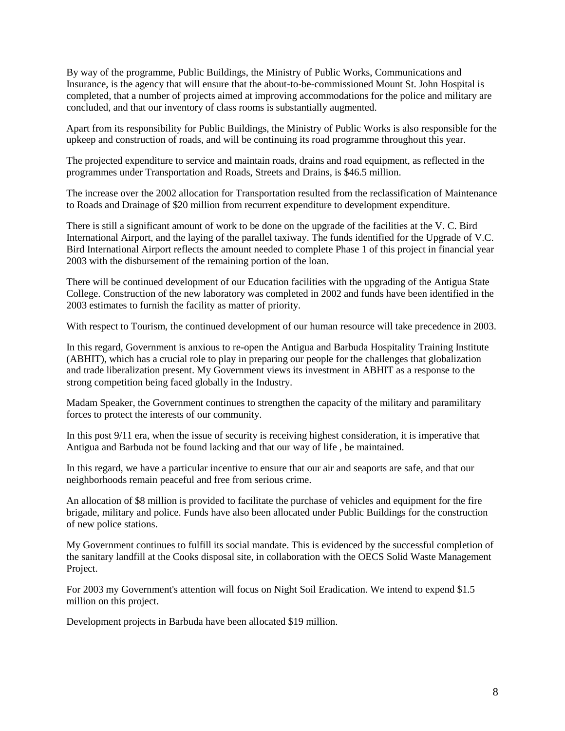By way of the programme, Public Buildings, the Ministry of Public Works, Communications and Insurance, is the agency that will ensure that the about-to-be-commissioned Mount St. John Hospital is completed, that a number of projects aimed at improving accommodations for the police and military are concluded, and that our inventory of class rooms is substantially augmented.

Apart from its responsibility for Public Buildings, the Ministry of Public Works is also responsible for the upkeep and construction of roads, and will be continuing its road programme throughout this year.

The projected expenditure to service and maintain roads, drains and road equipment, as reflected in the programmes under Transportation and Roads, Streets and Drains, is \$46.5 million.

The increase over the 2002 allocation for Transportation resulted from the reclassification of Maintenance to Roads and Drainage of \$20 million from recurrent expenditure to development expenditure.

There is still a significant amount of work to be done on the upgrade of the facilities at the V. C. Bird International Airport, and the laying of the parallel taxiway. The funds identified for the Upgrade of V.C. Bird International Airport reflects the amount needed to complete Phase 1 of this project in financial year 2003 with the disbursement of the remaining portion of the loan.

There will be continued development of our Education facilities with the upgrading of the Antigua State College. Construction of the new laboratory was completed in 2002 and funds have been identified in the 2003 estimates to furnish the facility as matter of priority.

With respect to Tourism, the continued development of our human resource will take precedence in 2003.

In this regard, Government is anxious to re-open the Antigua and Barbuda Hospitality Training Institute (ABHIT), which has a crucial role to play in preparing our people for the challenges that globalization and trade liberalization present. My Government views its investment in ABHIT as a response to the strong competition being faced globally in the Industry.

Madam Speaker, the Government continues to strengthen the capacity of the military and paramilitary forces to protect the interests of our community.

In this post 9/11 era, when the issue of security is receiving highest consideration, it is imperative that Antigua and Barbuda not be found lacking and that our way of life , be maintained.

In this regard, we have a particular incentive to ensure that our air and seaports are safe, and that our neighborhoods remain peaceful and free from serious crime.

An allocation of \$8 million is provided to facilitate the purchase of vehicles and equipment for the fire brigade, military and police. Funds have also been allocated under Public Buildings for the construction of new police stations.

My Government continues to fulfill its social mandate. This is evidenced by the successful completion of the sanitary landfill at the Cooks disposal site, in collaboration with the OECS Solid Waste Management Project.

For 2003 my Government's attention will focus on Night Soil Eradication. We intend to expend \$1.5 million on this project.

Development projects in Barbuda have been allocated \$19 million.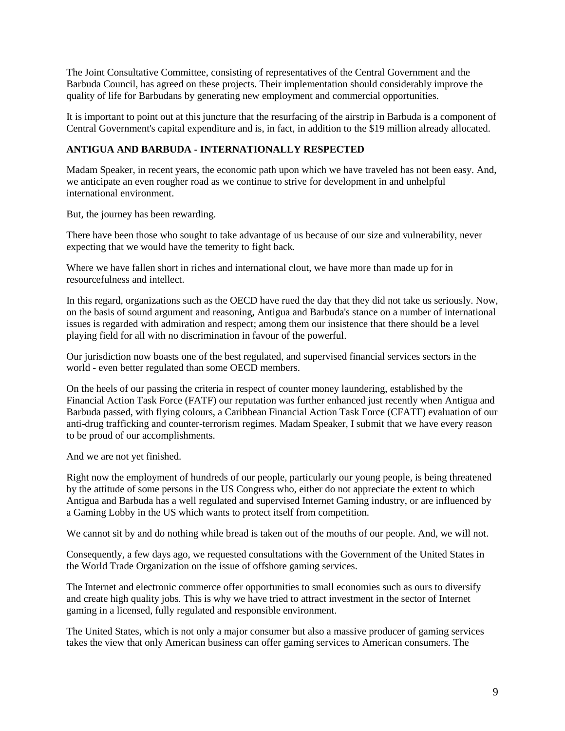The Joint Consultative Committee, consisting of representatives of the Central Government and the Barbuda Council, has agreed on these projects. Their implementation should considerably improve the quality of life for Barbudans by generating new employment and commercial opportunities.

It is important to point out at this juncture that the resurfacing of the airstrip in Barbuda is a component of Central Government's capital expenditure and is, in fact, in addition to the \$19 million already allocated.

# **ANTIGUA AND BARBUDA - INTERNATIONALLY RESPECTED**

Madam Speaker, in recent years, the economic path upon which we have traveled has not been easy. And, we anticipate an even rougher road as we continue to strive for development in and unhelpful international environment.

But, the journey has been rewarding.

There have been those who sought to take advantage of us because of our size and vulnerability, never expecting that we would have the temerity to fight back.

Where we have fallen short in riches and international clout, we have more than made up for in resourcefulness and intellect.

In this regard, organizations such as the OECD have rued the day that they did not take us seriously. Now, on the basis of sound argument and reasoning, Antigua and Barbuda's stance on a number of international issues is regarded with admiration and respect; among them our insistence that there should be a level playing field for all with no discrimination in favour of the powerful.

Our jurisdiction now boasts one of the best regulated, and supervised financial services sectors in the world - even better regulated than some OECD members.

On the heels of our passing the criteria in respect of counter money laundering, established by the Financial Action Task Force (FATF) our reputation was further enhanced just recently when Antigua and Barbuda passed, with flying colours, a Caribbean Financial Action Task Force (CFATF) evaluation of our anti-drug trafficking and counter-terrorism regimes. Madam Speaker, I submit that we have every reason to be proud of our accomplishments.

And we are not yet finished.

Right now the employment of hundreds of our people, particularly our young people, is being threatened by the attitude of some persons in the US Congress who, either do not appreciate the extent to which Antigua and Barbuda has a well regulated and supervised Internet Gaming industry, or are influenced by a Gaming Lobby in the US which wants to protect itself from competition.

We cannot sit by and do nothing while bread is taken out of the mouths of our people. And, we will not.

Consequently, a few days ago, we requested consultations with the Government of the United States in the World Trade Organization on the issue of offshore gaming services.

The Internet and electronic commerce offer opportunities to small economies such as ours to diversify and create high quality jobs. This is why we have tried to attract investment in the sector of Internet gaming in a licensed, fully regulated and responsible environment.

The United States, which is not only a major consumer but also a massive producer of gaming services takes the view that only American business can offer gaming services to American consumers. The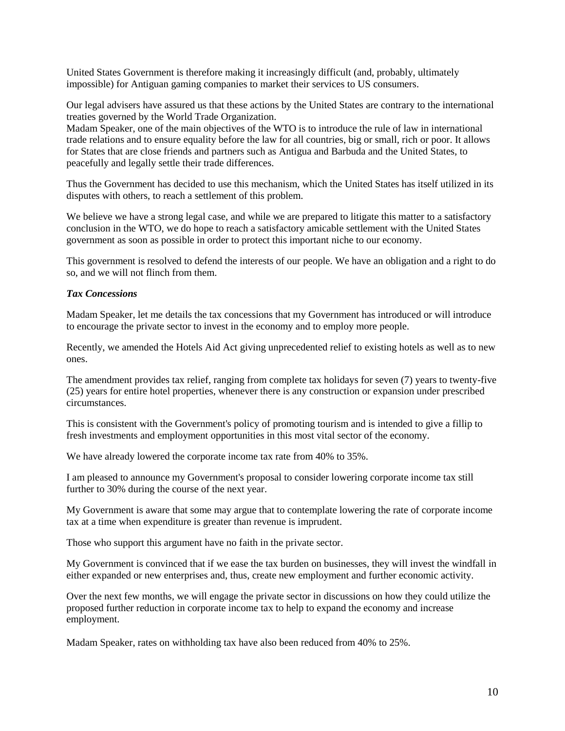United States Government is therefore making it increasingly difficult (and, probably, ultimately impossible) for Antiguan gaming companies to market their services to US consumers.

Our legal advisers have assured us that these actions by the United States are contrary to the international treaties governed by the World Trade Organization.

Madam Speaker, one of the main objectives of the WTO is to introduce the rule of law in international trade relations and to ensure equality before the law for all countries, big or small, rich or poor. It allows for States that are close friends and partners such as Antigua and Barbuda and the United States, to peacefully and legally settle their trade differences.

Thus the Government has decided to use this mechanism, which the United States has itself utilized in its disputes with others, to reach a settlement of this problem.

We believe we have a strong legal case, and while we are prepared to litigate this matter to a satisfactory conclusion in the WTO, we do hope to reach a satisfactory amicable settlement with the United States government as soon as possible in order to protect this important niche to our economy.

This government is resolved to defend the interests of our people. We have an obligation and a right to do so, and we will not flinch from them.

#### *Tax Concessions*

Madam Speaker, let me details the tax concessions that my Government has introduced or will introduce to encourage the private sector to invest in the economy and to employ more people.

Recently, we amended the Hotels Aid Act giving unprecedented relief to existing hotels as well as to new ones.

The amendment provides tax relief, ranging from complete tax holidays for seven (7) years to twenty-five (25) years for entire hotel properties, whenever there is any construction or expansion under prescribed circumstances.

This is consistent with the Government's policy of promoting tourism and is intended to give a fillip to fresh investments and employment opportunities in this most vital sector of the economy.

We have already lowered the corporate income tax rate from 40% to 35%.

I am pleased to announce my Government's proposal to consider lowering corporate income tax still further to 30% during the course of the next year.

My Government is aware that some may argue that to contemplate lowering the rate of corporate income tax at a time when expenditure is greater than revenue is imprudent.

Those who support this argument have no faith in the private sector.

My Government is convinced that if we ease the tax burden on businesses, they will invest the windfall in either expanded or new enterprises and, thus, create new employment and further economic activity.

Over the next few months, we will engage the private sector in discussions on how they could utilize the proposed further reduction in corporate income tax to help to expand the economy and increase employment.

Madam Speaker, rates on withholding tax have also been reduced from 40% to 25%.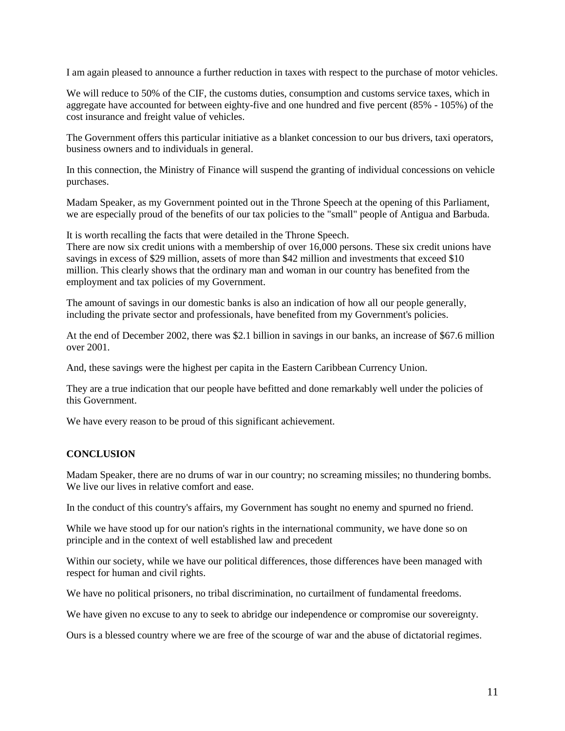I am again pleased to announce a further reduction in taxes with respect to the purchase of motor vehicles.

We will reduce to 50% of the CIF, the customs duties, consumption and customs service taxes, which in aggregate have accounted for between eighty-five and one hundred and five percent (85% - 105%) of the cost insurance and freight value of vehicles.

The Government offers this particular initiative as a blanket concession to our bus drivers, taxi operators, business owners and to individuals in general.

In this connection, the Ministry of Finance will suspend the granting of individual concessions on vehicle purchases.

Madam Speaker, as my Government pointed out in the Throne Speech at the opening of this Parliament, we are especially proud of the benefits of our tax policies to the "small" people of Antigua and Barbuda.

It is worth recalling the facts that were detailed in the Throne Speech.

There are now six credit unions with a membership of over 16,000 persons. These six credit unions have savings in excess of \$29 million, assets of more than \$42 million and investments that exceed \$10 million. This clearly shows that the ordinary man and woman in our country has benefited from the employment and tax policies of my Government.

The amount of savings in our domestic banks is also an indication of how all our people generally, including the private sector and professionals, have benefited from my Government's policies.

At the end of December 2002, there was \$2.1 billion in savings in our banks, an increase of \$67.6 million over 2001.

And, these savings were the highest per capita in the Eastern Caribbean Currency Union.

They are a true indication that our people have befitted and done remarkably well under the policies of this Government.

We have every reason to be proud of this significant achievement.

#### **CONCLUSION**

Madam Speaker, there are no drums of war in our country; no screaming missiles; no thundering bombs. We live our lives in relative comfort and ease.

In the conduct of this country's affairs, my Government has sought no enemy and spurned no friend.

While we have stood up for our nation's rights in the international community, we have done so on principle and in the context of well established law and precedent

Within our society, while we have our political differences, those differences have been managed with respect for human and civil rights.

We have no political prisoners, no tribal discrimination, no curtailment of fundamental freedoms.

We have given no excuse to any to seek to abridge our independence or compromise our sovereignty.

Ours is a blessed country where we are free of the scourge of war and the abuse of dictatorial regimes.